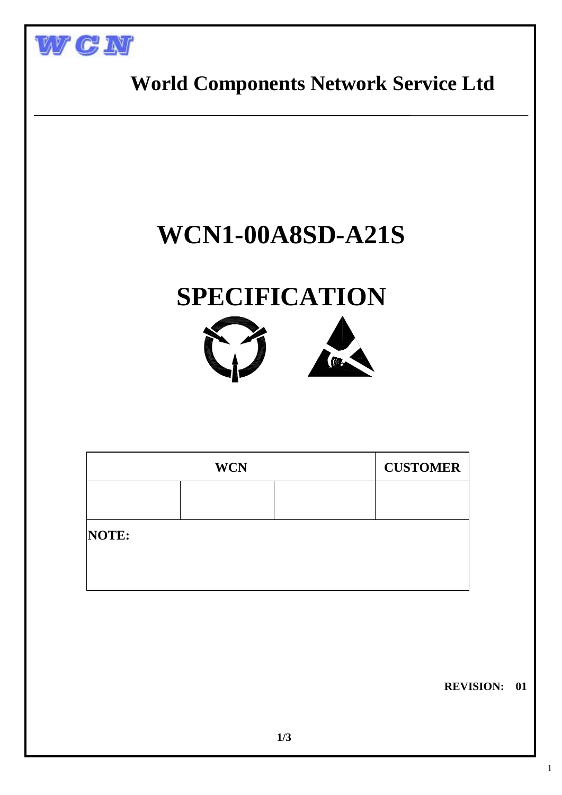



1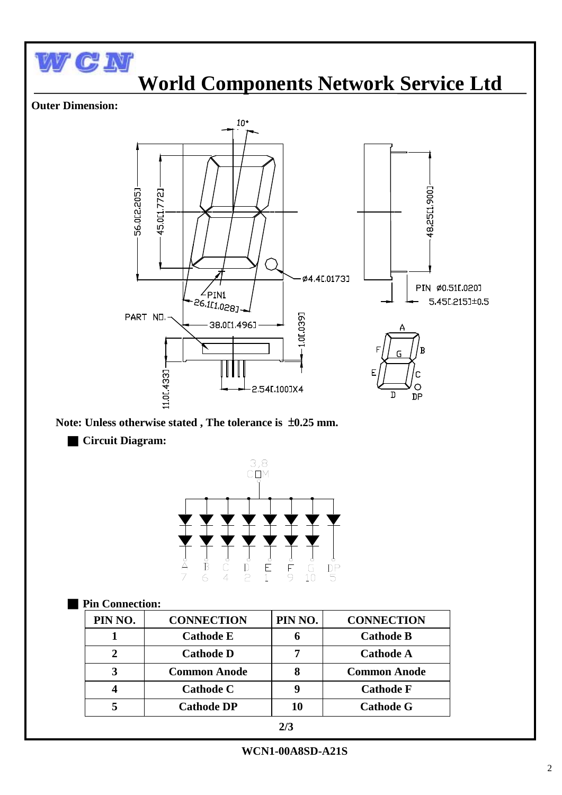

#### $\frac{6}{2}$  $\begin{array}{c}\n6 \\
E \\
1\n\end{array}$ もっこ  $\frac{6}{5}$  $\overrightarrow{B}$

# ■ **Pin Connection:**

| PIN NO.       | <b>CONNECTION</b>   | PIN NO. | <b>CONNECTION</b>   |
|---------------|---------------------|---------|---------------------|
|               | <b>Cathode E</b>    | 6       | <b>Cathode B</b>    |
| $\mathcal{D}$ | <b>Cathode D</b>    |         | <b>Cathode A</b>    |
| 3             | <b>Common Anode</b> |         | <b>Common Anode</b> |
|               | <b>Cathode C</b>    |         | <b>Cathode F</b>    |
|               | <b>Cathode DP</b>   | 10      | <b>Cathode G</b>    |

**WCN1-00A8SD-A21S**

 $\begin{array}{c}\n6 \\
\overline{10}\n\end{array}$ 

 $\overline{DP}$ <br>5